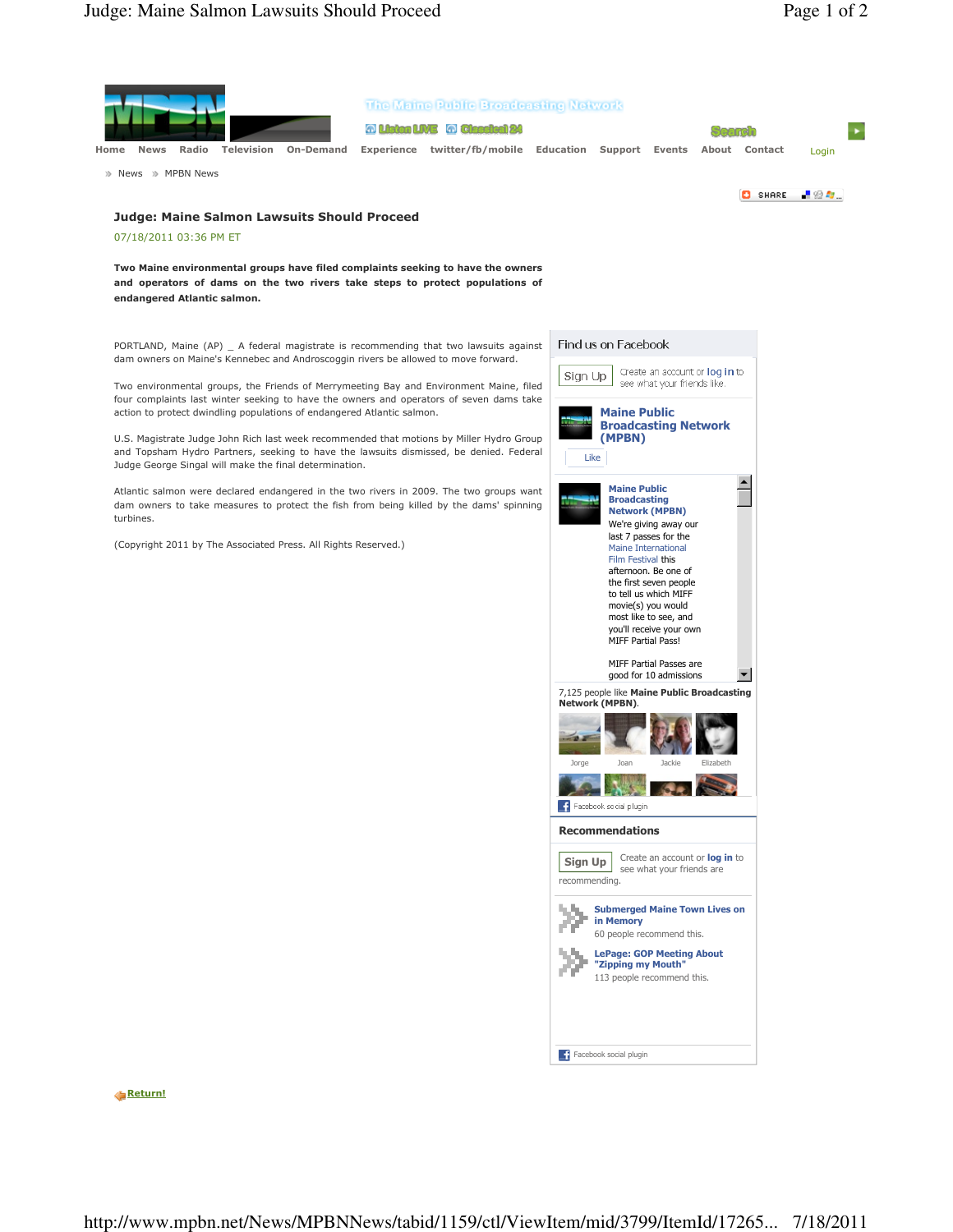

Return!